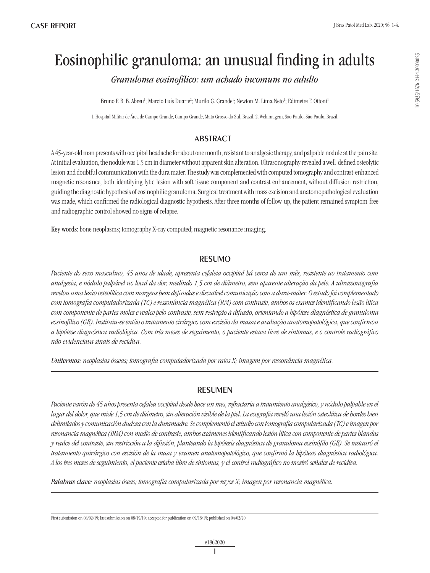# Eosinophilic granuloma: an unusual finding in adults

*Granuloma eosinofílico: um achado incomum no adulto*

Bruno F. B. B. Abreu<sup>1</sup>; Marcio Luís Duarte<sup>2</sup>; Murilo G. Grande<sup>1</sup>; Newton M. Lima Neto<sup>1</sup>; Edimeire F. Ottoni<sup>1</sup>

1. Hospital Militar de Área de Campo Grande, Campo Grande, Mato Grosso do Sul, Brazil. 2. Webimagem, São Paulo, São Paulo, Brazil.

## **ABSTRACT**

A 45-year-old man presents with occipital headache for about one month, resistant to analgesic therapy, and palpable nodule at the pain site. At initial evaluation, the nodule was 1.5 cm in diameter without apparent skin alteration. Ultrasonography revealed a well-defined osteolytic lesion and doubtful communication with the dura mater. The study was complemented with computed tomography and contrast-enhanced magnetic resonance, both identifying lytic lesion with soft tissue component and contrast enhancement, without diffusion restriction, guiding the diagnostic hypothesis of eosinophilic granuloma. Surgical treatment with mass excision and anatomopathological evaluation was made, which confirmed the radiological diagnostic hypothesis. After three months of follow-up, the patient remained symptom-free and radiographic control showed no signs of relapse.

Key words: bone neoplasms; tomography X-ray computed; magnetic resonance imaging.

## **RESUMO**

*Paciente do sexo masculino, 45 anos de idade, apresenta cefaleia occipital há cerca de um mês, resistente ao tratamento com analgesia, e nódulo palpável no local da dor, medindo 1,5 cm de diâmetro, sem aparente alteração da pele. A ultrassonografia revelou uma lesão osteolítica com margens bem definidas e discutível comunicação com a dura-máter. O estudo foi complementado com tomografia computadorizada (TC) e ressonância magnética (RM) com contraste, ambos os exames identificando lesão lítica com componente de partes moles e realce pelo contraste, sem restrição à difusão, orientando a hipótese diagnóstica de granuloma eosinofílico (GE). Instituiu-se então o tratamento cirúrgico com excisão da massa e avaliação anatomopatológica, que confirmou a hipótese diagnóstica radiológica. Com três meses de seguimento, o paciente estava livre de sintomas, e o controle radiográfico não evidenciava sinais de recidiva.* 

*Unitermos: neoplasias ósseas; tomografia computadorizada por raios X; imagem por ressonância magnética.*

## **RESUMEN**

*Paciente varón de 45 años presenta cefalea occipital desde hace un mes, refractaria a tratamiento analgésico, y nódulo palpable en el lugar del dolor, que mide 1,5 cm de diámetro, sin alteración visible de la piel. La ecografía reveló una lesión osteolítica de bordes bien delimitados y comunicación dudosa con la duramadre. Se complementó el estudio con tomografía computarizada (TC) e imagen por resonancia magnética (IRM) con medio de contraste, ambos exámenes identificando lesión lítica con componente de partes blandas y realce del contraste, sin restricción a la difusión, planteando la hipótesis diagnóstica de granuloma eosinófilo (GE). Se instauró el tratamiento quirúrgico con escisión de la masa y examen anatomopatológico, que confirmó la hipótesis diagnóstica radiológica. A los tres meses de seguimiento, el paciente estaba libre de síntomas, y el control radiográfico no mostró señales de recidiva.* 

*Palabras clave: neoplasias óseas; tomografía computarizada por rayos X; imagen por resonancia magnética.*

First submission on 08/02/19; last submission on 08/19/19; accepted for publication on 09/18/19; published on 04/02/20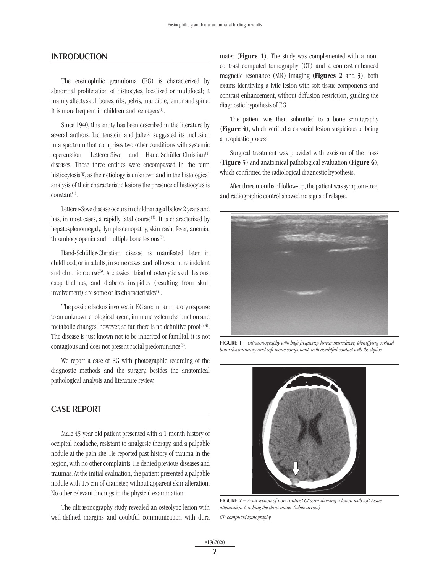#### **INTRODUCTION**

The eosinophilic granuloma (EG) is characterized by abnormal proliferation of histiocytes, localized or multifocal; it mainly affects skull bones, ribs, pelvis, mandible, femur and spine. It is more frequent in children and teenagers<sup>(1)</sup>.

Since 1940, this entity has been described in the literature by several authors. Lichtenstein and Jaffe<sup>(2)</sup> suggested its inclusion in a spectrum that comprises two other conditions with systemic repercussion: Letterer-Siwe and Hand-Schüller-Christian<sup>(1)</sup> diseases. Those three entities were encompassed in the term histiocytosis X, as their etiology is unknown and in the histological analysis of their characteristic lesions the presence of histiocytes is  $constant$ <sup>(1)</sup>.

Letterer-Siwe disease occurs in children aged below 2 years and has, in most cases, a rapidly fatal course<sup>(3)</sup>. It is characterized by hepatosplenomegaly, lymphadenopathy, skin rash, fever, anemia, thrombocytopenia and multiple bone lesions<sup>(3)</sup>.

Hand-Schüller-Christian disease is manifested later in childhood, or in adults, in some cases, and follows a more indolent and chronic course<sup>(3)</sup>. A classical triad of osteolytic skull lesions, exophthalmos, and diabetes insipidus (resulting from skull involvement) are some of its characteristics<sup>(3)</sup>.

The possible factors involved in EG are: inflammatory response to an unknown etiological agent, immune system dysfunction and metabolic changes; however, so far, there is no definitive proof<sup> $(3, 4)$ </sup>. The disease is just known not to be inherited or familial, it is not contagious and does not present racial predominance<sup>(5)</sup>.

We report a case of EG with photographic recording of the diagnostic methods and the surgery, besides the anatomical pathological analysis and literature review.

#### Case report

Male 45-year-old patient presented with a 1-month history of occipital headache, resistant to analgesic therapy, and a palpable nodule at the pain site. He reported past history of trauma in the region, with no other complaints. He denied previous diseases and traumas. At the initial evaluation, the patient presented a palpable nodule with 1.5 cm of diameter, without apparent skin alteration. No other relevant findings in the physical examination.

The ultrasonography study revealed an osteolytic lesion with well-defined margins and doubtful communication with dura mater (Figure 1). The study was complemented with a noncontrast computed tomography (CT) and a contrast-enhanced magnetic resonance (MR) imaging (Figures 2 and 3), both exams identifying a lytic lesion with soft-tissue components and contrast enhancement, without diffusion restriction, guiding the diagnostic hypothesis of EG.

The patient was then submitted to a bone scintigraphy (Figure 4), which verified a calvarial lesion suspicious of being a neoplastic process.

Surgical treatment was provided with excision of the mass (Figure 5) and anatomical pathological evaluation (Figure 6), which confirmed the radiological diagnostic hypothesis.

After three months of follow-up, the patient was symptom-free, and radiographic control showed no signs of relapse.



figure 1 – *Ultrasonography with high-frequency linear transducer, identifying cortical bone discontinuity and soft-tissue component, with doubtful contact with the diploe*



figure 2 – *Axial section of non-contrast CT scan showing a lesion with soft-tissue attenuation touching the dura mater (white arrow)*

*CT: computed tomography.*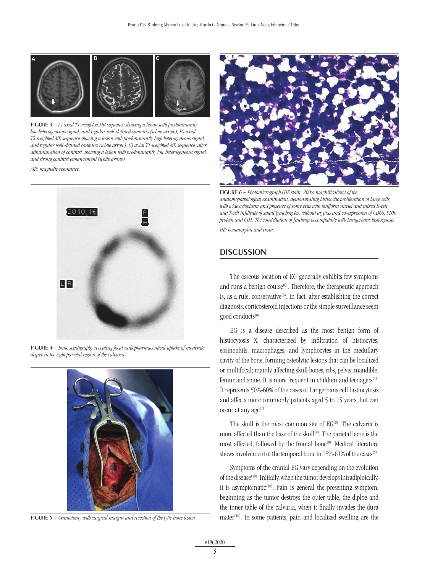

**FIGURE 3** – *A) axial T1-weighted MR sequence showing a lesion with predominantly low heterogeneous signal, and regular well-defined contours (white arrow); B) axial T2-weighted MR sequence showing a lesion with predominantly high heterogeneous signal, and regular well-defined contours (white arrow); C) axial T1-weighted MR sequence, after administration of contrast, showing a lesion with predominantly low heterogeneous signal, and strong contrast enhancement (white arrow)*

*MR: magnetic resonance.*



figure 4 – *Bone scintigraphy revealing focal radiopharmaceutical uptake of moderate degree in the right parietal region of the calvaria*



figure 5 – *Craniotomy with surgical margin and resection of the lytic bone lesion*



figure 6 – *Photomicrograph (HE stain; 200× magnification) of the anatomopathological examination, demonstrating histiocytic proliferation of large cells,*  with wide cytoplasm and presence of some cells with reniform nuclei and mixed B-cell *and T-cell infiltrate of small lymphocytes, without atypias and co-expression of CD68, S100 protein and CD1. The constellation of findings is compatible with Langerhans histiocytosis HE: hematoxylin and eosin.*

### **DISCUSSION**

The osseous location of EG generally exhibits few symptoms and runs a benign course<sup>(6)</sup>. Therefore, the therapeutic approach is, as a rule, conservative $^{(6)}$ . In fact, after establishing the correct diagnosis, corticosteroid injections or the simple surveillance seem good conducts<sup>(6)</sup>.

EG is a disease described as the most benign form of histiocytosis X, characterized by infiltration of histiocytes, eosinophils, macrophages, and lymphocytes in the medullary cavity of the bone, forming osteolytic lesions that can be localized or multifocal; mainly affecting skull bones, ribs, pelvis, mandible, femur and spine. It is more frequent in children and teenagers<sup>(1)</sup>. It represents 50%-60% of the cases of Langerhans cell histiocytosis and affects more commonly patients aged 5 to 15 years, but can occur at any  $age^{(7)}$ .

The skull is the most common site of  $EG^{(8)}$ . The calvaria is more affected than the base of the skull<sup>(9)</sup>. The parietal bone is the most affected, followed by the frontal bone<sup>(8)</sup>. Medical literature shows involvement of the temporal bone in 18%-61% of the cases<sup>(5)</sup>.

Symptoms of the cranial EG vary depending on the evolution of the disease<sup>(10)</sup>. Initially, when the tumor develops intradiploically, it is asymptomatic $(10)$ . Pain is general the presenting symptom, beginning as the tumor destroys the outer table, the diploe and the inner table of the calvaria, when it finally invades the dura  $matter<sup>(10)</sup>$ . In some patients, pain and localized swelling are the